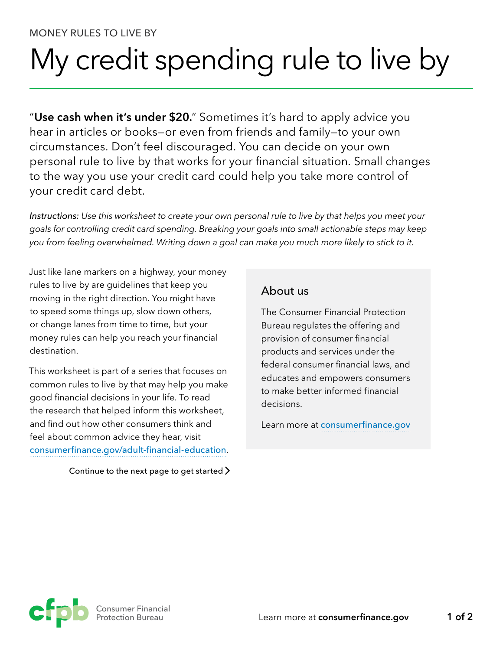## My credit spending rule to live by

"**Use cash when it's under \$20.**" Sometimes it's hard to apply advice you hear in articles or books—or even from friends and family—to your own circumstances. Don't feel discouraged. You can decide on your own personal rule to live by that works for your financial situation. Small changes to the way you use your credit card could help you take more control of your credit card debt.

*Instructions: Use this worksheet to create your own personal rule to live by that helps you meet your goals for controlling credit card spending. Breaking your goals into small actionable steps may keep you from feeling overwhelmed. Writing down a goal can make you much more likely to stick to it.*

Just like lane markers on a highway, your money rules to live by are guidelines that keep you moving in the right direction. You might have to speed some things up, slow down others, or change lanes from time to time, but your money rules can help you reach your financial destination.

This worksheet is part of a series that focuses on common rules to live by that may help you make good financial decisions in your life. To read the research that helped inform this worksheet, and find out how other consumers think and feel about common advice they hear, visit [consumerfinance.gov/adult-financial-education](http://www.consumerfinance.gov/adult-financial-education).

Continue to the next page to get started  $\sum$ 

## About us

The Consumer Financial Protection Bureau regulates the offering and provision of consumer financial products and services under the federal consumer financial laws, and educates and empowers consumers to make better informed financial decisions.

Learn more at [consumerfinance.gov](https://www.consumerfinance.gov)